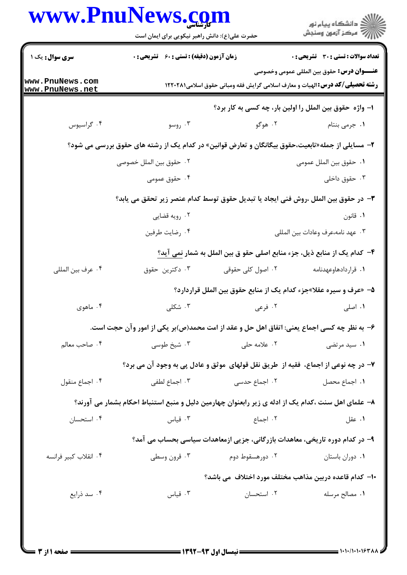|                                                                                    | حضرت علی(ع): دانش راهبر نیکویی برای ایمان است                                                      | www.PnuNews.com   | ڪ دانشڪاه پيام نور<br>ر∕ = سڪز آزمون وسنڊش                                                                                                 |  |  |  |
|------------------------------------------------------------------------------------|----------------------------------------------------------------------------------------------------|-------------------|--------------------------------------------------------------------------------------------------------------------------------------------|--|--|--|
| <b>سری سوال :</b> یک ۱                                                             | <b>زمان آزمون (دقیقه) : تستی : 60 ٪ تشریحی : 0</b>                                                 |                   | تعداد سوالات : تستى : 30 ٪ تشريحي : 0                                                                                                      |  |  |  |
| www.PnuNews.com<br>www.PnuNews.net                                                 |                                                                                                    |                   | <b>عنـــوان درس:</b> حقوق بين المللي عمومي وخصوصي<br><b>رشته تحصیلی/کد درس: ا</b> لهیات و معارف اسلامی گرایش فقه ومبانی حقوق اسلامی۱۲۲۰۲۸۱ |  |  |  |
|                                                                                    | ا- واژه حقوق بین الملل را اولین بار، چه کسی به کار برد؟                                            |                   |                                                                                                                                            |  |  |  |
| ۰۴ گراسيوس                                                                         | ۰۳ روسو                                                                                            | ۰۲ هوگو           | ۰۱ جرمی بنتام                                                                                                                              |  |  |  |
|                                                                                    | ۲– مسایلی از جمله«تابعیت،حقوق بیگانگان و تعارض قوانین» در کدام یک از رشته های حقوق بررسی می شود؟   |                   |                                                                                                                                            |  |  |  |
|                                                                                    | ٠٢ حقوق بين الملل خصوصي                                                                            |                   | ٠١. حقوق بين الملل عمومي                                                                                                                   |  |  |  |
|                                                                                    | ۰۴ حقوق عمومی                                                                                      |                   | ۰۳ حقوق داخلی                                                                                                                              |  |  |  |
| ٣- در حقوق بين الملل ،روش فني ايجاد يا تبديل حقوق توسط كدام عنصر زير تحقق مي يابد؟ |                                                                                                    |                   |                                                                                                                                            |  |  |  |
|                                                                                    | ۰۲ رویه قضایی                                                                                      |                   | ۰۱ قانون                                                                                                                                   |  |  |  |
|                                                                                    | ۰۴ رضايت طرفين                                                                                     |                   | ٠٣ عهد نامه،عرف وعادات بين المللي                                                                                                          |  |  |  |
|                                                                                    |                                                                                                    |                   | ۴– كدام يك از منابع ذيل، جزء منابع اصلي حقو ق بين الملل به شمار نمي آيد؟                                                                   |  |  |  |
| ۰۴ عرف بين المللي                                                                  | ۰۳ دکترین حقوق                                                                                     | ۰۲ اصول کلی حقوقی | ٠١ قراردادهاوعهدنامه                                                                                                                       |  |  |  |
|                                                                                    |                                                                                                    |                   | ۵– «عرف و سیره عقلا»جزء کدام یک از منابع حقوق بین الملل قراردارد؟                                                                          |  |  |  |
| ۰۴ ماهوي                                                                           | ۰۳ شکلی                                                                                            | ۰۲ فرعی           | ۰۱ اصلی                                                                                                                                    |  |  |  |
|                                                                                    | ۶– به نظر چه کسی اجماع یعنی: اتفاق اهل حل و عقد از امت محمد(ص)بر یکی از امور وآن حجت است.          |                   |                                                                                                                                            |  |  |  |
| ۰۴ صاحب معالم                                                                      | ۰۳ شیخ طوسی                                                                                        | ۰۲ علامه حلی      | ۰۱ سید مرتضی                                                                                                                               |  |  |  |
|                                                                                    | ٧- در چه نوعی از اجماع، فقیه از طریق نقل قولهای موثق و عادل پی به وجود آن می برد؟                  |                   |                                                                                                                                            |  |  |  |
| ۰۴ اجماع منقول                                                                     | ۰۳ اجماع لطفي                                                                                      | ۰۲ اجماع حدسی     | ٠١. اجماع محصل                                                                                                                             |  |  |  |
|                                                                                    | ۸– علمای اهل سنت ،کدام یک از ادله ی زیر رابعنوان چهارمین دلیل و منبع استنباط احکام بشمار می آورند؟ |                   |                                                                                                                                            |  |  |  |
| ۰۴ استحسان                                                                         | ۰۳ قیاس                                                                                            | ۰۲ اجماع          | ۰۱ عقل                                                                                                                                     |  |  |  |
|                                                                                    | ۹– در کدام دوره تاریخی، معاهدات بازرگانی، جزیی ازمعاهدات سیاسی بحساب می آمد؟                       |                   |                                                                                                                                            |  |  |  |
| ۰۴ انقلاب كبير فرانسه                                                              | ۰۳ قرون وسطى                                                                                       | ۰۲ دورهسقوط دوم   | ٠١ دوران باستان                                                                                                                            |  |  |  |
|                                                                                    | <b>۱۰</b> – کدام قاعده دربین مذاهب مختلف مورد اختلاف  می باشد؟                                     |                   |                                                                                                                                            |  |  |  |
| ۰۴ سد ذرایع                                                                        | ۰۳ قیاس                                                                                            | ۰۲ استحسان        | ٠١. مصالح مرسله                                                                                                                            |  |  |  |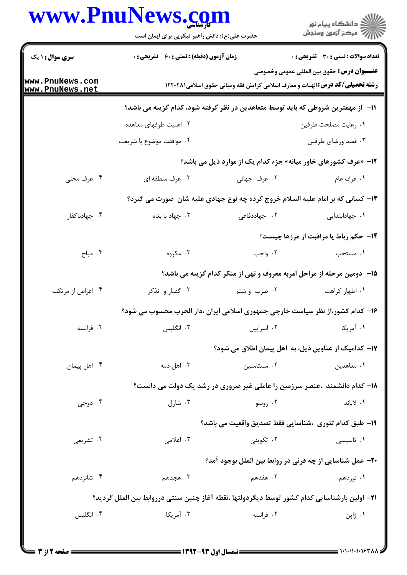## www.PnuNews.com

|                                    | www.PnuNews.com<br>حضرت علی(ع): دانش راهبر نیکویی برای ایمان است                                                                            |              | ڪ دانشڪاه پيام نور<br>(7 مرڪز آزمون وسنڊش                                       |  |  |
|------------------------------------|---------------------------------------------------------------------------------------------------------------------------------------------|--------------|---------------------------------------------------------------------------------|--|--|
| <b>سری سوال : ۱ یک</b>             | <b>زمان آزمون (دقیقه) : تستی : 60 ٪ تشریحی : 0</b>                                                                                          |              | <b>تعداد سوالات : تستی : 30 ٪ تشریحی : 0</b>                                    |  |  |
| www.PnuNews.com<br>www.PnuNews.net | <b>عنــــوان درس:</b> حقوق بين المللي عمومي وخصوصي<br><b>رشته تحصیلی/کد درس: ا</b> لهیات و معارف اسلامی گرایش فقه ومبانی حقوق اسلامی1۲۲۰۲۸۱ |              |                                                                                 |  |  |
|                                    | اا− از مهمترین شروطی که باید توسط متعاهدین در نظر گرفته شود، کدام گزینه می باشد؟                                                            |              |                                                                                 |  |  |
|                                    | ۰۲ اهلیت طرفهای معاهده                                                                                                                      |              | ٠١. رعايت مصلحت طرفين                                                           |  |  |
|                                    | ۰۴ موافقت موضوع با شريعت                                                                                                                    |              | ۰۳ قصد ورضاي طرفين                                                              |  |  |
|                                    |                                                                                                                                             |              | ۱۲- «عرف کشورهای خاور میانه» جزء کدام یک از موارد ذیل می باشد؟                  |  |  |
| ۰۴ عرف محلی                        | ۰۳ عرف منطقه ای                                                                                                                             | ٢. عرف جهاني | ١. عرف عام                                                                      |  |  |
|                                    |                                                                                                                                             |              | ۱۳- کسانی که بر امام علیه السلام خروج کرده چه نوع جهادی علیه شان ًصورت می گیرد؟ |  |  |
| ۰۴ جهادباكفار                      | ۰۳ جهاد با بغاه                                                                                                                             | ۰۲ جهاددفاعی | ٠١ جهادابتدايي                                                                  |  |  |
|                                    |                                                                                                                                             |              | <b>۱۴ - حکم رباط یا مراقبت از مرزها چیست</b> ؟                                  |  |  |
| ۰۴ مباح                            | ۰۳ مکروه                                                                                                                                    | ۰۲ واجب      | ٠١ مستحب                                                                        |  |  |
|                                    | ۱۵– دومین مرحله از مراحل امربه معروف و نهی از منکر کدام گزینه می باشد؟                                                                      |              |                                                                                 |  |  |
| ۰۴ اعراض از مرتکب                  | ۰۳ گفتار و تذکر                                                                                                                             | ۰۲ ضرب و شتم | ٠١. اظهار كراهت                                                                 |  |  |
|                                    | ۱۶– کدام کشور،از نظر سیاست خارجی جمهوری اسلامی ایران ،دار الحرب محسوب می شود؟                                                               |              |                                                                                 |  |  |
| ۰۴ فرانسه                          | ۰۳ انگلیس                                                                                                                                   | ٠٢ اسراييل   | ۰۱ آمریکا                                                                       |  |  |
|                                    | ۱۷– کدامیک از عناوین ذیل، به  اهل پیمان اطلاق می شود؟                                                                                       |              |                                                                                 |  |  |
| ۰۴ اهل پیمان                       | ۰۳ اهل ذمه                                                                                                                                  | ۰۲ مستامنین  | ۰۱ معاهدين                                                                      |  |  |
|                                    |                                                                                                                                             |              | ۱۸- کدام دانشمند ،عنصر سرزمین را عاملی غیر ضروری در رشد یک دولت می دانست؟       |  |  |
| ۰۴ دوجی                            | ۰۳ شارل                                                                                                                                     | ۰۲ روسو      | ٠١ لاباند                                                                       |  |  |
|                                    |                                                                                                                                             |              | ١٩- طبق كدام تئوري ،شناسايي فقط تصديق واقعيت مي باشد؟                           |  |  |
| ۰۴ تشریعی                          | ۰۳ اعلامی                                                                                                                                   | ۰۲ تکوینی    | ۰۱ تاسیسی                                                                       |  |  |
|                                    |                                                                                                                                             |              | ۲۰- عمل شناسایی از چه قرنی در روابط بین الملل بوجود آمد؟                        |  |  |
| ۰۴ شانزدهم                         | ۰۳ هجدهم                                                                                                                                    | ۰۲ هفدهم     | ۰۱ نوزدهم                                                                       |  |  |
|                                    | ٣١– اولين بارشناسايي كدام كشور توسط ديگردولتها ،نقطه آغاز چنين سنتي درروابط بين الملل گرديد؟                                                |              |                                                                                 |  |  |
| ۰۴ انگلیس                          | ۰۳ آمریکا                                                                                                                                   | ۰۲ فرانسه    | ۰۱ ژاپن                                                                         |  |  |
|                                    |                                                                                                                                             |              |                                                                                 |  |  |